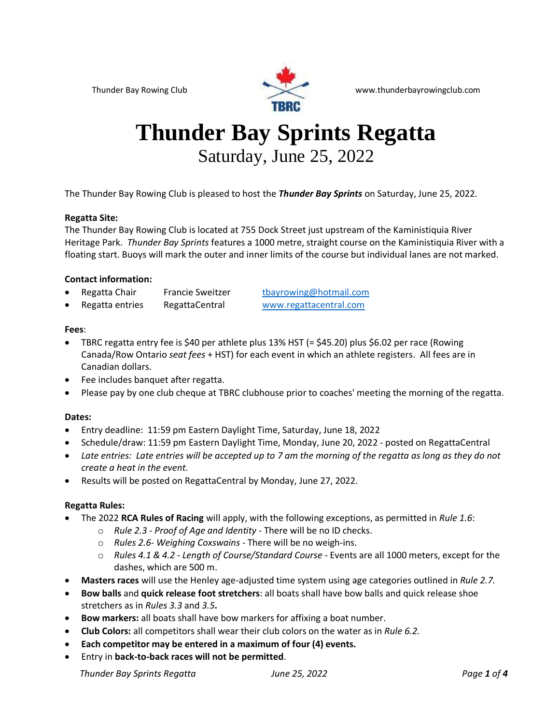

#### Thunder Bay Rowing Club www.thunderbayrowingclub.com

# **Thunder Bay Sprints Regatta** Saturday, June 25, 2022

The Thunder Bay Rowing Club is pleased to host the *Thunder Bay Sprints* on Saturday, June 25, 2022.

#### **Regatta Site:**

The Thunder Bay Rowing Club is located at 755 Dock Street just upstream of the Kaministiquia River Heritage Park. *Thunder Bay Sprints* features a 1000 metre, straight course on the Kaministiquia River with a floating start. Buoys will mark the outer and inner limits of the course but individual lanes are not marked.

#### **Contact information:**

- Regatta Chair Francie Sweitzer [tbayrowing@hotmail.com](mailto:tbayrowing@hotmail.com)
- Regatta entries RegattaCentral [www.regattacentral.com](http://www.regattacentral.com/)

#### **Fees**:

- TBRC regatta entry fee is \$40 per athlete plus 13% HST (= \$45.20) plus \$6.02 per race (Rowing Canada/Row Ontario *seat fees* + HST) for each event in which an athlete registers. All fees are in Canadian dollars.
- Fee includes banquet after regatta.
- Please pay by one club cheque at TBRC clubhouse prior to coaches' meeting the morning of the regatta.

#### **Dates:**

- Entry deadline: 11:59 pm Eastern Daylight Time, Saturday, June 18, 2022
- Schedule/draw: 11:59 pm Eastern Daylight Time, Monday, June 20, 2022 posted on RegattaCentral
- *Late entries: Late entries will be accepted up to 7 am the morning of the regatta as long as they do not create a heat in the event.*
- Results will be posted on RegattaCentral by Monday, June 27, 2022.

#### **Regatta Rules:**

- The 2022 **RCA Rules of Racing** will apply, with the following exceptions, as permitted in *Rule 1.6*:
	- o *Rule 2.3 - Proof of Age and Identity*  There will be no ID checks.
	- o *Rules 2.6- Weighing Coxswains* There will be no weigh-ins.
	- o *Rules 4.1 & 4.2 - Length of Course/Standard Course* Events are all 1000 meters, except for the dashes, which are 500 m.
- **Masters races** will use the Henley age-adjusted time system using age categories outlined in *Rule 2.7.*
- **Bow balls** and **quick release foot stretchers**: all boats shall have bow balls and quick release shoe stretchers as in *Rules 3.3* and *3.5***.**
- **Bow markers:** all boats shall have bow markers for affixing a boat number.
- **Club Colors:** all competitors shall wear their club colors on the water as in *Rule 6.2.*
- **Each competitor may be entered in a maximum of four (4) events.**
- Entry in **back-to-back races will not be permitted**.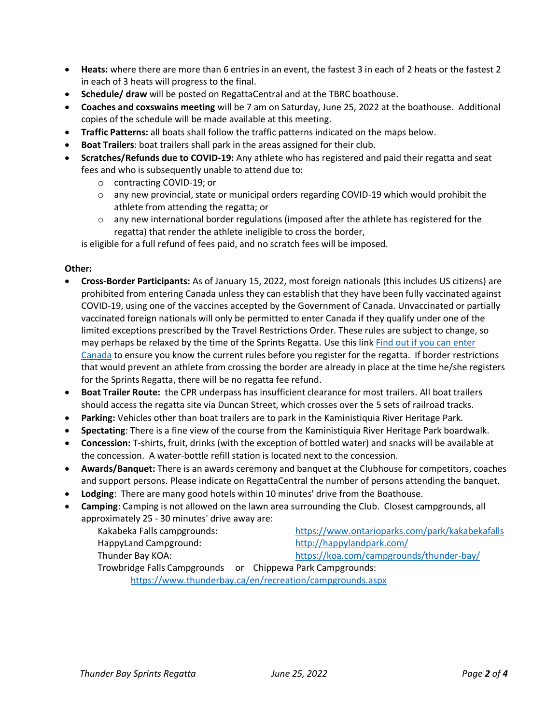- **Heats:** where there are more than 6 entries in an event, the fastest 3 in each of 2 heats or the fastest 2 in each of 3 heats will progress to the final.
- **Schedule/ draw** will be posted on RegattaCentral and at the TBRC boathouse.
- **Coaches and coxswains meeting** will be 7 am on Saturday, June 25, 2022 at the boathouse. Additional copies of the schedule will be made available at this meeting.
- **Traffic Patterns:** all boats shall follow the traffic patterns indicated on the maps below.
- **Boat Trailers**: boat trailers shall park in the areas assigned for their club.
- **Scratches/Refunds due to COVID-19:** Any athlete who has registered and paid their regatta and seat fees and who is subsequently unable to attend due to:
	- o contracting COVID-19; or
	- $\circ$  any new provincial, state or municipal orders regarding COVID-19 which would prohibit the athlete from attending the regatta; or
	- $\circ$  any new international border regulations (imposed after the athlete has registered for the regatta) that render the athlete ineligible to cross the border,

is eligible for a full refund of fees paid, and no scratch fees will be imposed.

#### **Other:**

- **Cross-Border Participants:** As of January 15, 2022, most foreign nationals (this includes US citizens) are prohibited from entering Canada unless they can establish that they have been fully vaccinated against COVID-19, using one of the vaccines accepted by the Government of Canada. Unvaccinated or partially vaccinated foreign nationals will only be permitted to enter Canada if they qualify under one of the limited exceptions prescribed by the Travel Restrictions Order. These rules are subject to change, so may perhaps be relaxed by the time of the Sprints Regatta. Use this link [Find out if you can enter](https://travel.gc.ca/travel-covid/travel-restrictions/wizard-start)  [Canada](https://travel.gc.ca/travel-covid/travel-restrictions/wizard-start) to ensure you know the current rules before you register for the regatta. If border restrictions that would prevent an athlete from crossing the border are already in place at the time he/she registers for the Sprints Regatta, there will be no regatta fee refund.
- **Boat Trailer Route:** the CPR underpass has insufficient clearance for most trailers. All boat trailers should access the regatta site via Duncan Street, which crosses over the 5 sets of railroad tracks.
- **Parking:** Vehicles other than boat trailers are to park in the Kaministiquia River Heritage Park.
- **Spectating**: There is a fine view of the course from the Kaministiquia River Heritage Park boardwalk.
- **Concession:** T-shirts, fruit, drinks (with the exception of bottled water) and snacks will be available at the concession. A water-bottle refill station is located next to the concession.
- **Awards/Banquet:** There is an awards ceremony and banquet at the Clubhouse for competitors, coaches and support persons. Please indicate on RegattaCentral the number of persons attending the banquet.
- **Lodging**: There are many good hotels within 10 minutes' drive from the Boathouse.
- **Camping**: Camping is not allowed on the lawn area surrounding the Club. Closest campgrounds, all approximately 25 - 30 minutes' drive away are:

| Kakabeka Falls campgrounds:                                | https://www.ontarioparks.com/park/kakabekafalls |  |  |
|------------------------------------------------------------|-------------------------------------------------|--|--|
| HappyLand Campground:                                      | http://happylandpark.com/                       |  |  |
| Thunder Bay KOA:                                           | https://koa.com/campgrounds/thunder-bay/        |  |  |
| Trowbridge Falls Campgrounds or Chippewa Park Campgrounds: |                                                 |  |  |
| https://www.thunderbay.ca/en/recreation/campgrounds.aspx   |                                                 |  |  |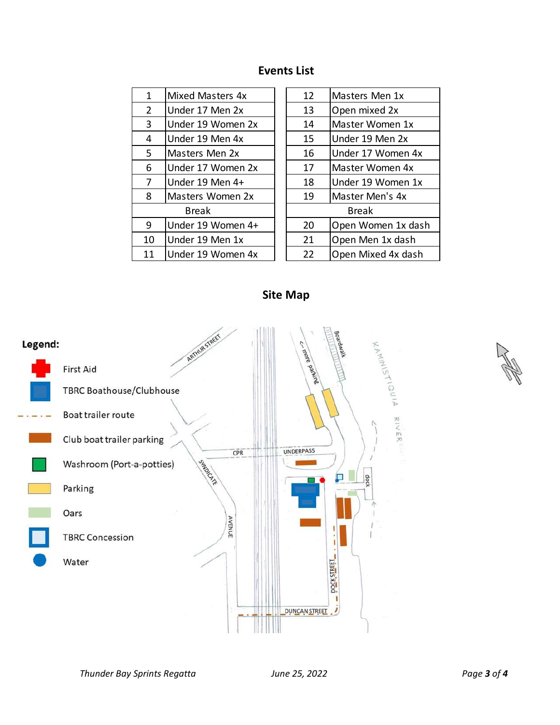### **Events List**

| 1              | Mixed Masters 4x  | 12           | Masters Men 1x    |
|----------------|-------------------|--------------|-------------------|
| $\overline{2}$ | Under 17 Men 2x   | 13           | Open mixed 2x     |
| 3              | Under 19 Women 2x | 14           | Master Women 1x   |
| 4              | Under 19 Men 4x   | 15           | Under 19 Men 2x   |
| 5.             | Masters Men 2x    | 16           | Under 17 Women 4  |
| 6              | Under 17 Women 2x | 17           | Master Women 4x   |
| 7              | Under 19 Men 4+   | 18           | Under 19 Women 1  |
| 8              | Masters Women 2x  | 19           | Master Men's 4x   |
|                | <b>Break</b>      | <b>Break</b> |                   |
| 9              | Under 19 Women 4+ | 20           | Open Women 1x da  |
| 10             | Under 19 Men 1x   | 21           | Open Men 1x dash  |
| 11             | Under 19 Women 4x | 22           | Open Mixed 4x das |
|                |                   |              |                   |

| Master Women 1x    |
|--------------------|
|                    |
| Under 17 Women 4x  |
| Master Women 4x    |
| Under 19 Women 1x  |
|                    |
|                    |
| Open Women 1x dash |
| Open Men 1x dash   |
| Open Mixed 4x dash |
| Under 19 Men 2x    |

**Site Map**